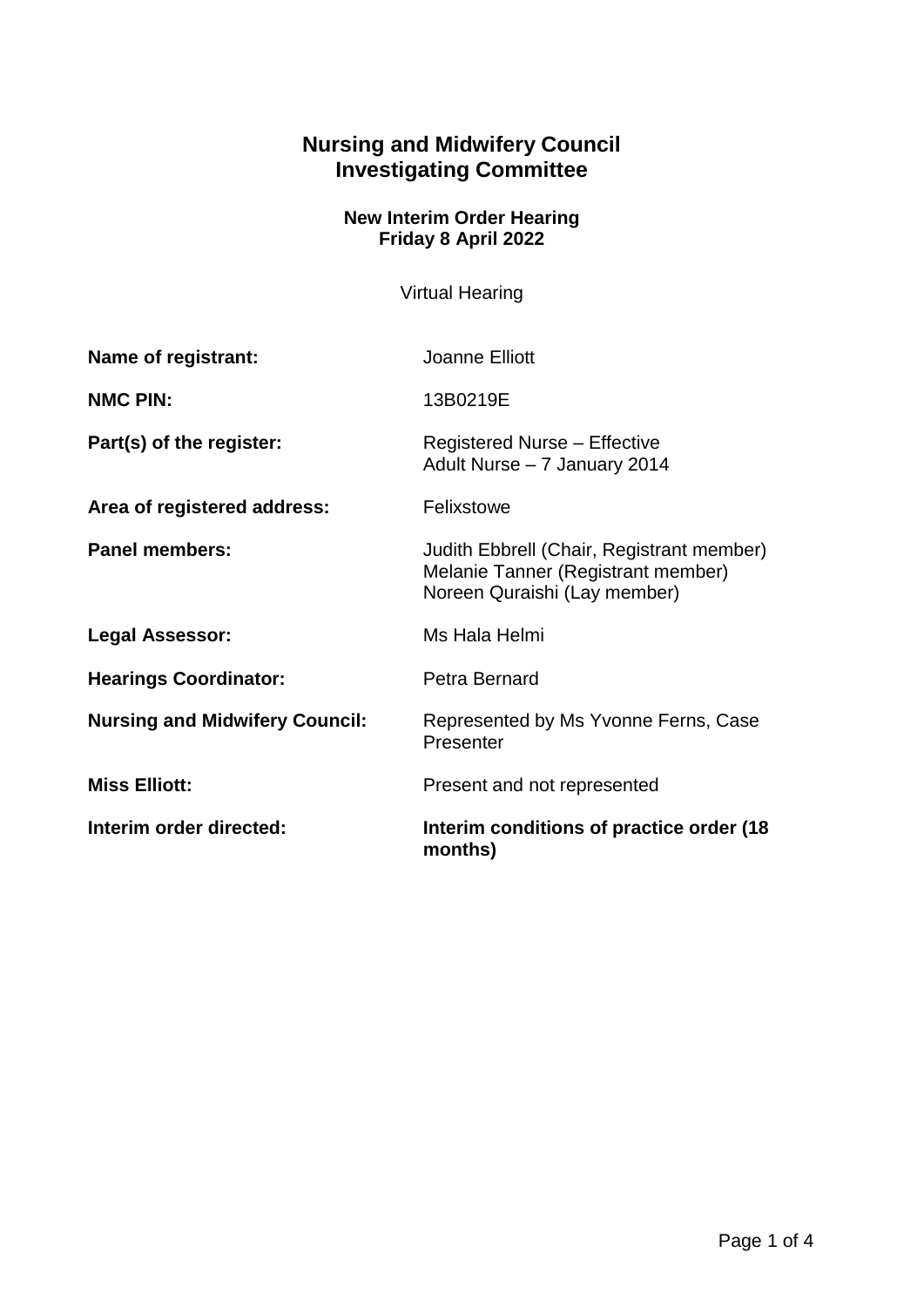## **Nursing and Midwifery Council Investigating Committee**

## **New Interim Order Hearing Friday 8 April 2022**

Virtual Hearing

| Name of registrant:                   | Joanne Elliott                                                                                                  |
|---------------------------------------|-----------------------------------------------------------------------------------------------------------------|
| <b>NMC PIN:</b>                       | 13B0219E                                                                                                        |
| Part(s) of the register:              | <b>Registered Nurse - Effective</b><br>Adult Nurse - 7 January 2014                                             |
| Area of registered address:           | Felixstowe                                                                                                      |
| <b>Panel members:</b>                 | Judith Ebbrell (Chair, Registrant member)<br>Melanie Tanner (Registrant member)<br>Noreen Quraishi (Lay member) |
| Legal Assessor:                       | Ms Hala Helmi                                                                                                   |
| <b>Hearings Coordinator:</b>          | Petra Bernard                                                                                                   |
| <b>Nursing and Midwifery Council:</b> | Represented by Ms Yvonne Ferns, Case<br>Presenter                                                               |
| <b>Miss Elliott:</b>                  | Present and not represented                                                                                     |
| Interim order directed:               | Interim conditions of practice order (18)<br>months)                                                            |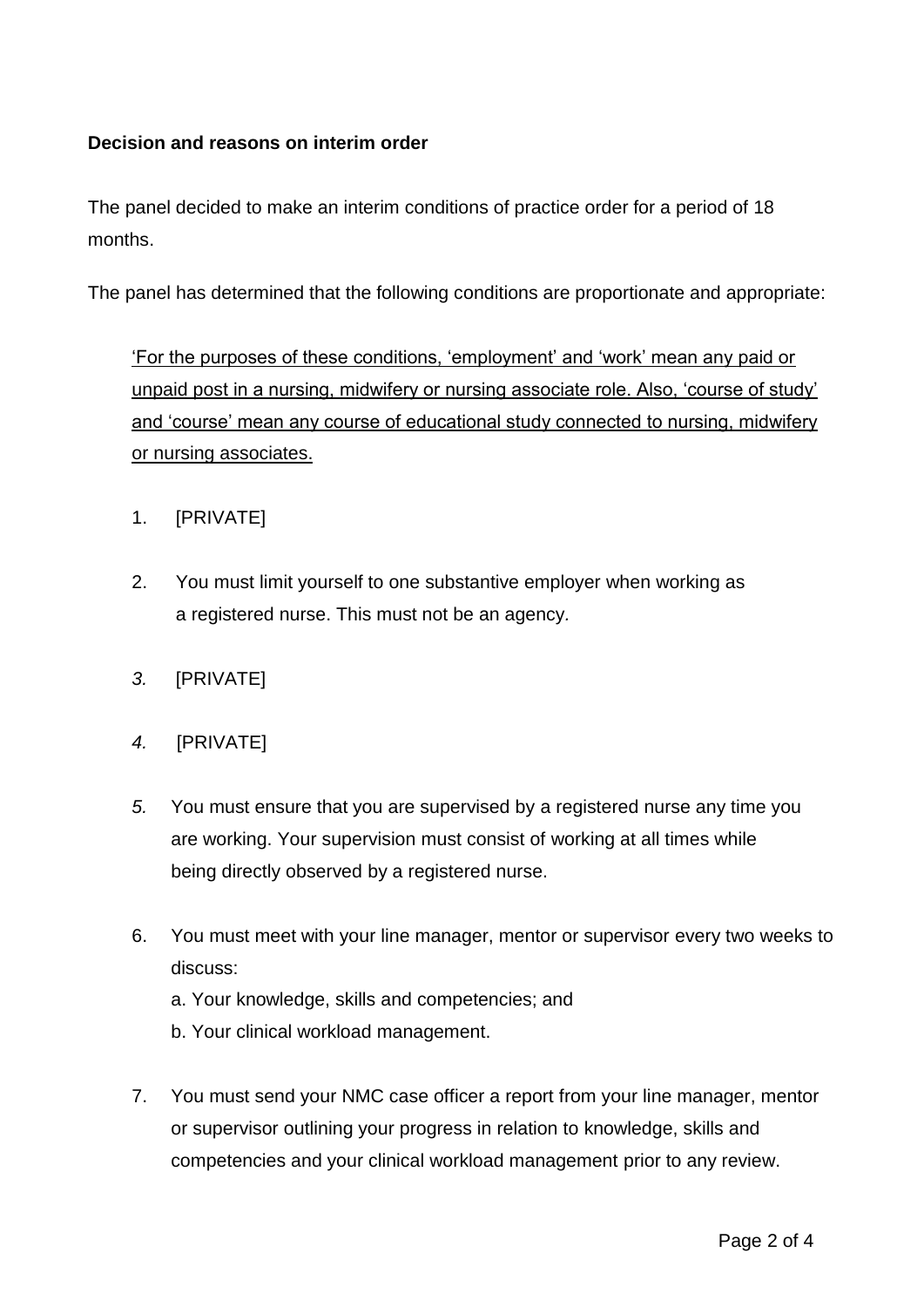## **Decision and reasons on interim order**

The panel decided to make an interim conditions of practice order for a period of 18 months.

The panel has determined that the following conditions are proportionate and appropriate:

'For the purposes of these conditions, 'employment' and 'work' mean any paid or unpaid post in a nursing, midwifery or nursing associate role. Also, 'course of study' and 'course' mean any course of educational study connected to nursing, midwifery or nursing associates.

## 1. [PRIVATE]

- 2. You must limit yourself to one substantive employer when working as a registered nurse. This must not be an agency*.*
- *3.* [PRIVATE]
- *4.* [PRIVATE]
- *5.* You must ensure that you are supervised by a registered nurse any time you are working. Your supervision must consist of working at all times while being directly observed by a registered nurse.
- 6. You must meet with your line manager, mentor or supervisor every two weeks to discuss:
	- a. Your knowledge, skills and competencies; and
	- b. Your clinical workload management.
- 7. You must send your NMC case officer a report from your line manager, mentor or supervisor outlining your progress in relation to knowledge, skills and competencies and your clinical workload management prior to any review.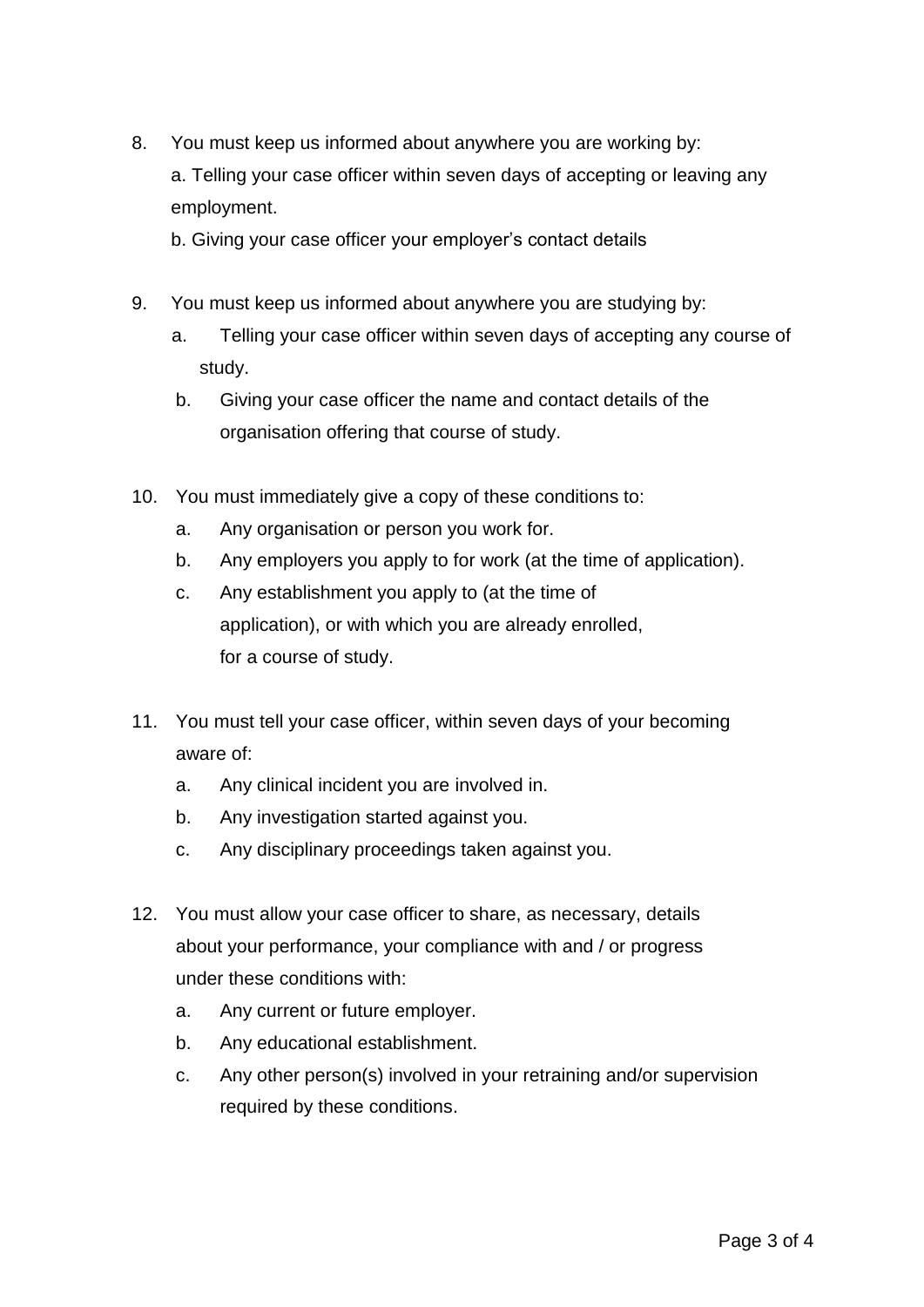8. You must keep us informed about anywhere you are working by: a. Telling your case officer within seven days of accepting or leaving any employment.

b. Giving your case officer your employer's contact details

- 9. You must keep us informed about anywhere you are studying by:
	- a. Telling your case officer within seven days of accepting any course of study.
	- b. Giving your case officer the name and contact details of the organisation offering that course of study.
- 10. You must immediately give a copy of these conditions to:
	- a. Any organisation or person you work for.
	- b. Any employers you apply to for work (at the time of application).
	- c. Any establishment you apply to (at the time of application), or with which you are already enrolled, for a course of study.
- 11. You must tell your case officer, within seven days of your becoming aware of:
	- a. Any clinical incident you are involved in.
	- b. Any investigation started against you.
	- c. Any disciplinary proceedings taken against you.
- 12. You must allow your case officer to share, as necessary, details about your performance, your compliance with and / or progress under these conditions with:
	- a. Any current or future employer.
	- b. Any educational establishment.
	- c. Any other person(s) involved in your retraining and/or supervision required by these conditions.